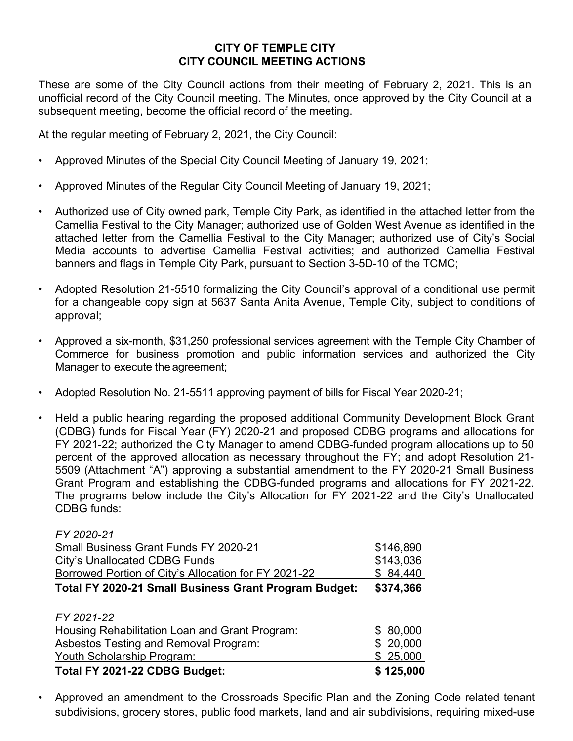## **CITY OF TEMPLE CITY CITY COUNCIL MEETING ACTIONS**

These are some of the City Council actions from their meeting of February 2, 2021. This is an unofficial record of the City Council meeting. The Minutes, once approved by the City Council at a subsequent meeting, become the official record of the meeting.

At the regular meeting of February 2, 2021, the City Council:

- Approved Minutes of the Special City Council Meeting of January 19, 2021;
- Approved Minutes of the Regular City Council Meeting of January 19, 2021;
- Authorized use of City owned park, Temple City Park, as identified in the attached letter from the Camellia Festival to the City Manager; authorized use of Golden West Avenue as identified in the attached letter from the Camellia Festival to the City Manager; authorized use of City's Social Media accounts to advertise Camellia Festival activities; and authorized Camellia Festival banners and flags in Temple City Park, pursuant to Section 3-5D-10 of the TCMC;
- Adopted Resolution 21-5510 formalizing the City Council's approval of a conditional use permit for a changeable copy sign at 5637 Santa Anita Avenue, Temple City, subject to conditions of approval;
- Approved a six-month, \$31,250 professional services agreement with the Temple City Chamber of Commerce for business promotion and public information services and authorized the City Manager to execute the agreement;
- Adopted Resolution No. 21-5511 approving payment of bills for Fiscal Year 2020-21;
- Held a public hearing regarding the proposed additional Community Development Block Grant (CDBG) funds for Fiscal Year (FY) 2020-21 and proposed CDBG programs and allocations for FY 2021-22; authorized the City Manager to amend CDBG-funded program allocations up to 50 percent of the approved allocation as necessary throughout the FY; and adopt Resolution 21- 5509 (Attachment "A") approving a substantial amendment to the FY 2020-21 Small Business Grant Program and establishing the CDBG-funded programs and allocations for FY 2021-22. The programs below include the City's Allocation for FY 2021-22 and the City's Unallocated CDBG funds:

| FY 2020-21                                            |           |
|-------------------------------------------------------|-----------|
| <b>Small Business Grant Funds FY 2020-21</b>          | \$146,890 |
| <b>City's Unallocated CDBG Funds</b>                  | \$143,036 |
| Borrowed Portion of City's Allocation for FY 2021-22  | \$84,440  |
| Total FY 2020-21 Small Business Grant Program Budget: | \$374,366 |
| FY 2021-22                                            |           |
| Housing Rehabilitation Loan and Grant Program:        | \$80,000  |
| Asbestos Testing and Removal Program:                 | \$20,000  |
| Youth Scholarship Program:                            | \$25,000  |
| Total FY 2021-22 CDBG Budget:                         | \$125,000 |

• Approved an amendment to the Crossroads Specific Plan and the Zoning Code related tenant subdivisions, grocery stores, public food markets, land and air subdivisions, requiring mixed-use